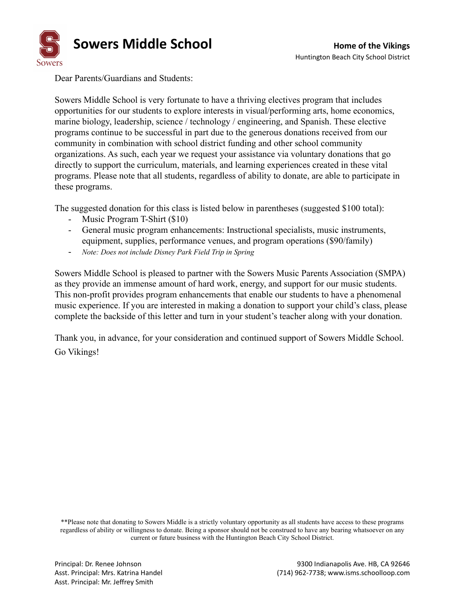

Dear Parents/Guardians and Students:

Sowers Middle School is very fortunate to have a thriving electives program that includes opportunities for our students to explore interests in visual/performing arts, home economics, marine biology, leadership, science / technology / engineering, and Spanish. These elective programs continue to be successful in part due to the generous donations received from our community in combination with school district funding and other school community organizations. As such, each year we request your assistance via voluntary donations that go directly to support the curriculum, materials, and learning experiences created in these vital programs. Please note that all students, regardless of ability to donate, are able to participate in these programs.

The suggested donation for this class is listed below in parentheses (suggested \$100 total):

- Music Program T-Shirt (\$10)
- General music program enhancements: Instructional specialists, music instruments, equipment, supplies, performance venues, and program operations (\$90/family)
- *Note: Does not include Disney Park Field Trip in Spring*

Sowers Middle School is pleased to partner with the Sowers Music Parents Association (SMPA) as they provide an immense amount of hard work, energy, and support for our music students. This non-profit provides program enhancements that enable our students to have a phenomenal music experience. If you are interested in making a donation to support your child's class, please complete the backside of this letter and turn in your student's teacher along with your donation.

Thank you, in advance, for your consideration and continued support of Sowers Middle School. Go Vikings!

\*\*Please note that donating to Sowers Middle is a strictly voluntary opportunity as all students have access to these programs regardless of ability or willingness to donate. Being a sponsor should not be construed to have any bearing whatsoever on any current or future business with the Huntington Beach City School District.